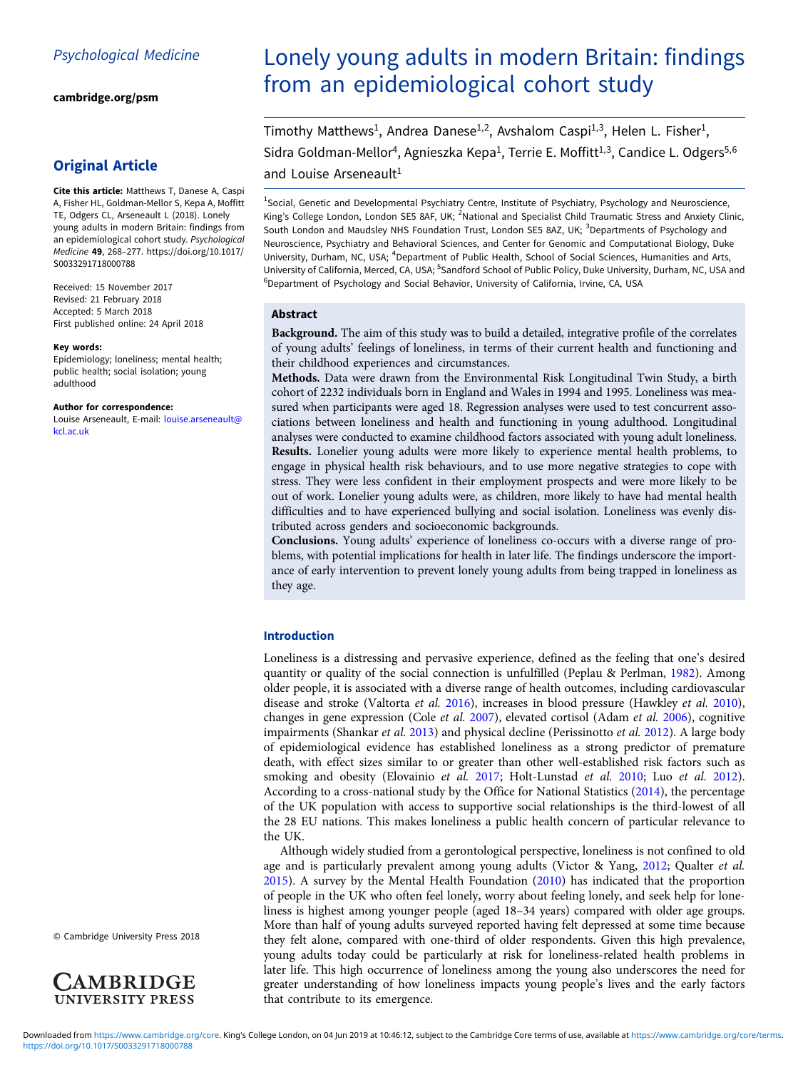[cambridge.org/psm](https://www.cambridge.org/psm)

## Original Article

Cite this article: Matthews T, Danese A, Caspi A, Fisher HL, Goldman-Mellor S, Kepa A, Moffitt TE, Odgers CL, Arseneault L (2018). Lonely young adults in modern Britain: findings from an epidemiological cohort study. Psychological Medicine 49, 268–277. [https://doi.org/10.1017/](https://doi.org/10.1017/S0033291718000788) [S0033291718000788](https://doi.org/10.1017/S0033291718000788)

Received: 15 November 2017 Revised: 21 February 2018 Accepted: 5 March 2018 First published online: 24 April 2018

#### Key words:

Epidemiology; loneliness; mental health; public health; social isolation; young adulthood

#### Author for correspondence:

Louise Arseneault, E-mail: [louise.arseneault@](mailto:louise.arseneault@kcl.ac.uk) [kcl.ac.uk](mailto:louise.arseneault@kcl.ac.uk)

# Lonely young adults in modern Britain: findings from an epidemiological cohort study

Timothy Matthews<sup>1</sup>, Andrea Danese<sup>1,2</sup>, Avshalom Caspi<sup>1,3</sup>, Helen L. Fisher<sup>1</sup>, Sidra Goldman-Mellor<sup>4</sup>, Agnieszka Kepa<sup>1</sup>, Terrie E. Moffitt<sup>1,3</sup>, Candice L. Odgers<sup>5,6</sup> and Louise Arseneault<sup>1</sup>

<sup>1</sup>Social, Genetic and Developmental Psychiatry Centre, Institute of Psychiatry, Psychology and Neuroscience, King's College London, London SE5 8AF, UK; <sup>2</sup>National and Specialist Child Traumatic Stress and Anxiety Clinic, South London and Maudsley NHS Foundation Trust, London SE5 8AZ, UK; <sup>3</sup>Departments of Psychology and Neuroscience, Psychiatry and Behavioral Sciences, and Center for Genomic and Computational Biology, Duke University, Durham, NC, USA; <sup>4</sup>Department of Public Health, School of Social Sciences, Humanities and Arts, University of California, Merced, CA, USA; <sup>5</sup>Sandford School of Public Policy, Duke University, Durham, NC, USA and <sup>6</sup>Department of Psychology and Social Behavior, University of California, Irvine, CA, USA

#### Abstract

Background. The aim of this study was to build a detailed, integrative profile of the correlates of young adults' feelings of loneliness, in terms of their current health and functioning and their childhood experiences and circumstances.

Methods. Data were drawn from the Environmental Risk Longitudinal Twin Study, a birth cohort of 2232 individuals born in England and Wales in 1994 and 1995. Loneliness was measured when participants were aged 18. Regression analyses were used to test concurrent associations between loneliness and health and functioning in young adulthood. Longitudinal analyses were conducted to examine childhood factors associated with young adult loneliness. Results. Lonelier young adults were more likely to experience mental health problems, to engage in physical health risk behaviours, and to use more negative strategies to cope with stress. They were less confident in their employment prospects and were more likely to be out of work. Lonelier young adults were, as children, more likely to have had mental health difficulties and to have experienced bullying and social isolation. Loneliness was evenly distributed across genders and socioeconomic backgrounds.

Conclusions. Young adults' experience of loneliness co-occurs with a diverse range of problems, with potential implications for health in later life. The findings underscore the importance of early intervention to prevent lonely young adults from being trapped in loneliness as they age.

## Introduction

Loneliness is a distressing and pervasive experience, defined as the feeling that one's desired quantity or quality of the social connection is unfulfilled (Peplau & Perlman, [1982\)](#page-9-0). Among older people, it is associated with a diverse range of health outcomes, including cardiovascular disease and stroke (Valtorta et al. [2016\)](#page-9-0), increases in blood pressure (Hawkley et al. [2010](#page-8-0)), changes in gene expression (Cole et al. [2007\)](#page-8-0), elevated cortisol (Adam et al. [2006](#page-8-0)), cognitive impairments (Shankar et al. [2013](#page-9-0)) and physical decline (Perissinotto et al. [2012](#page-9-0)). A large body of epidemiological evidence has established loneliness as a strong predictor of premature death, with effect sizes similar to or greater than other well-established risk factors such as smoking and obesity (Elovainio et al. [2017;](#page-8-0) Holt-Lunstad et al. [2010](#page-8-0); Luo et al. [2012](#page-9-0)). According to a cross-national study by the Office for National Statistics ([2014\)](#page-9-0), the percentage of the UK population with access to supportive social relationships is the third-lowest of all the 28 EU nations. This makes loneliness a public health concern of particular relevance to the UK.

Although widely studied from a gerontological perspective, loneliness is not confined to old age and is particularly prevalent among young adults (Victor & Yang, [2012](#page-9-0); Qualter et al. [2015\)](#page-9-0). A survey by the Mental Health Foundation [\(2010\)](#page-9-0) has indicated that the proportion of people in the UK who often feel lonely, worry about feeling lonely, and seek help for loneliness is highest among younger people (aged 18–34 years) compared with older age groups. More than half of young adults surveyed reported having felt depressed at some time because they felt alone, compared with one-third of older respondents. Given this high prevalence, young adults today could be particularly at risk for loneliness-related health problems in later life. This high occurrence of loneliness among the young also underscores the need for greater understanding of how loneliness impacts young people's lives and the early factors that contribute to its emergence.

© Cambridge University Press 2018

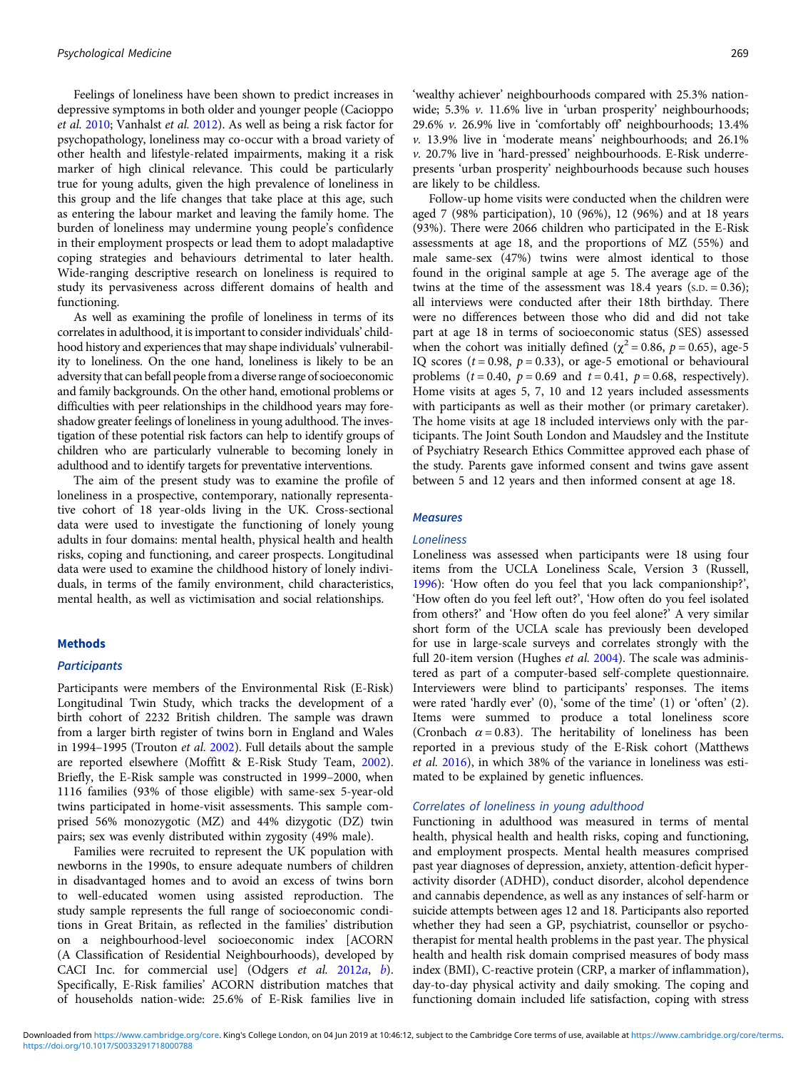Feelings of loneliness have been shown to predict increases in depressive symptoms in both older and younger people (Cacioppo et al. [2010;](#page-8-0) Vanhalst et al. [2012\)](#page-9-0). As well as being a risk factor for psychopathology, loneliness may co-occur with a broad variety of other health and lifestyle-related impairments, making it a risk marker of high clinical relevance. This could be particularly true for young adults, given the high prevalence of loneliness in this group and the life changes that take place at this age, such as entering the labour market and leaving the family home. The burden of loneliness may undermine young people's confidence in their employment prospects or lead them to adopt maladaptive coping strategies and behaviours detrimental to later health. Wide-ranging descriptive research on loneliness is required to study its pervasiveness across different domains of health and functioning.

As well as examining the profile of loneliness in terms of its correlates in adulthood, it is important to consider individuals' childhood history and experiences that may shape individuals' vulnerability to loneliness. On the one hand, loneliness is likely to be an adversity that can befall peoplefrom a diverse range of socioeconomic and family backgrounds. On the other hand, emotional problems or difficulties with peer relationships in the childhood years may foreshadow greater feelings of loneliness in young adulthood. The investigation of these potential risk factors can help to identify groups of children who are particularly vulnerable to becoming lonely in adulthood and to identify targets for preventative interventions.

The aim of the present study was to examine the profile of loneliness in a prospective, contemporary, nationally representative cohort of 18 year-olds living in the UK. Cross-sectional data were used to investigate the functioning of lonely young adults in four domains: mental health, physical health and health risks, coping and functioning, and career prospects. Longitudinal data were used to examine the childhood history of lonely individuals, in terms of the family environment, child characteristics, mental health, as well as victimisation and social relationships.

#### **Methods**

#### **Participants**

Participants were members of the Environmental Risk (E-Risk) Longitudinal Twin Study, which tracks the development of a birth cohort of 2232 British children. The sample was drawn from a larger birth register of twins born in England and Wales in 1994–1995 (Trouton et al. [2002\)](#page-9-0). Full details about the sample are reported elsewhere (Moffitt & E-Risk Study Team, [2002\)](#page-9-0). Briefly, the E-Risk sample was constructed in 1999–2000, when 1116 families (93% of those eligible) with same-sex 5-year-old twins participated in home-visit assessments. This sample comprised 56% monozygotic (MZ) and 44% dizygotic (DZ) twin pairs; sex was evenly distributed within zygosity (49% male).

Families were recruited to represent the UK population with newborns in the 1990s, to ensure adequate numbers of children in disadvantaged homes and to avoid an excess of twins born to well-educated women using assisted reproduction. The study sample represents the full range of socioeconomic conditions in Great Britain, as reflected in the families' distribution on a neighbourhood-level socioeconomic index [ACORN (A Classification of Residential Neighbourhoods), developed by CACI Inc. for commercial use] (Odgers et al. [2012](#page-9-0)a, [b](#page-9-0)). Specifically, E-Risk families' ACORN distribution matches that of households nation-wide: 25.6% of E-Risk families live in

'wealthy achiever' neighbourhoods compared with 25.3% nationwide; 5.3% v. 11.6% live in 'urban prosperity' neighbourhoods; 29.6% v. 26.9% live in 'comfortably off' neighbourhoods; 13.4% v. 13.9% live in 'moderate means' neighbourhoods; and 26.1% v. 20.7% live in 'hard-pressed' neighbourhoods. E-Risk underrepresents 'urban prosperity' neighbourhoods because such houses are likely to be childless.

Follow-up home visits were conducted when the children were aged 7 (98% participation), 10 (96%), 12 (96%) and at 18 years (93%). There were 2066 children who participated in the E-Risk assessments at age 18, and the proportions of MZ (55%) and male same-sex (47%) twins were almost identical to those found in the original sample at age 5. The average age of the twins at the time of the assessment was  $18.4$  years (s.p. = 0.36); all interviews were conducted after their 18th birthday. There were no differences between those who did and did not take part at age 18 in terms of socioeconomic status (SES) assessed when the cohort was initially defined ( $\chi^2$  = 0.86, p = 0.65), age-5 IQ scores ( $t = 0.98$ ,  $p = 0.33$ ), or age-5 emotional or behavioural problems ( $t = 0.40$ ,  $p = 0.69$  and  $t = 0.41$ ,  $p = 0.68$ , respectively). Home visits at ages 5, 7, 10 and 12 years included assessments with participants as well as their mother (or primary caretaker). The home visits at age 18 included interviews only with the participants. The Joint South London and Maudsley and the Institute of Psychiatry Research Ethics Committee approved each phase of the study. Parents gave informed consent and twins gave assent between 5 and 12 years and then informed consent at age 18.

#### **Measures**

#### **Loneliness**

Loneliness was assessed when participants were 18 using four items from the UCLA Loneliness Scale, Version 3 (Russell, [1996](#page-9-0)): 'How often do you feel that you lack companionship?', 'How often do you feel left out?', 'How often do you feel isolated from others?' and 'How often do you feel alone?' A very similar short form of the UCLA scale has previously been developed for use in large-scale surveys and correlates strongly with the full 20-item version (Hughes et al. [2004\)](#page-8-0). The scale was administered as part of a computer-based self-complete questionnaire. Interviewers were blind to participants' responses. The items were rated 'hardly ever' (0), 'some of the time' (1) or 'often' (2). Items were summed to produce a total loneliness score (Cronbach  $\alpha$  = 0.83). The heritability of loneliness has been reported in a previous study of the E-Risk cohort (Matthews et al. [2016](#page-9-0)), in which 38% of the variance in loneliness was estimated to be explained by genetic influences.

#### Correlates of loneliness in young adulthood

Functioning in adulthood was measured in terms of mental health, physical health and health risks, coping and functioning, and employment prospects. Mental health measures comprised past year diagnoses of depression, anxiety, attention-deficit hyperactivity disorder (ADHD), conduct disorder, alcohol dependence and cannabis dependence, as well as any instances of self-harm or suicide attempts between ages 12 and 18. Participants also reported whether they had seen a GP, psychiatrist, counsellor or psychotherapist for mental health problems in the past year. The physical health and health risk domain comprised measures of body mass index (BMI), C-reactive protein (CRP, a marker of inflammation), day-to-day physical activity and daily smoking. The coping and functioning domain included life satisfaction, coping with stress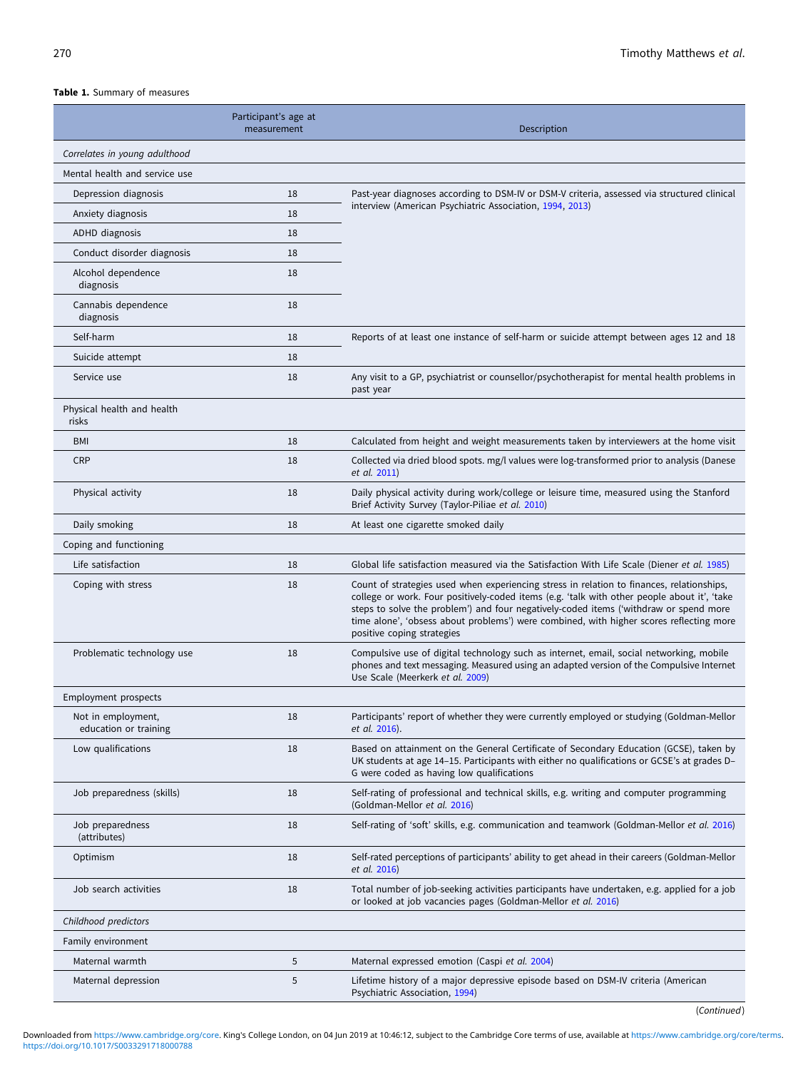## <span id="page-2-0"></span>Table 1. Summary of measures

|                                             | Participant's age at<br>measurement | Description                                                                                                                                                                                                                                                                                                                                                                                                |  |
|---------------------------------------------|-------------------------------------|------------------------------------------------------------------------------------------------------------------------------------------------------------------------------------------------------------------------------------------------------------------------------------------------------------------------------------------------------------------------------------------------------------|--|
| Correlates in young adulthood               |                                     |                                                                                                                                                                                                                                                                                                                                                                                                            |  |
| Mental health and service use               |                                     |                                                                                                                                                                                                                                                                                                                                                                                                            |  |
| Depression diagnosis                        | 18                                  | Past-year diagnoses according to DSM-IV or DSM-V criteria, assessed via structured clinical                                                                                                                                                                                                                                                                                                                |  |
| Anxiety diagnosis                           | 18                                  | interview (American Psychiatric Association, 1994, 2013)                                                                                                                                                                                                                                                                                                                                                   |  |
| ADHD diagnosis                              | 18                                  |                                                                                                                                                                                                                                                                                                                                                                                                            |  |
| Conduct disorder diagnosis                  | 18                                  |                                                                                                                                                                                                                                                                                                                                                                                                            |  |
| Alcohol dependence<br>diagnosis             | 18                                  |                                                                                                                                                                                                                                                                                                                                                                                                            |  |
| Cannabis dependence<br>diagnosis            | 18                                  |                                                                                                                                                                                                                                                                                                                                                                                                            |  |
| Self-harm                                   | 18                                  | Reports of at least one instance of self-harm or suicide attempt between ages 12 and 18                                                                                                                                                                                                                                                                                                                    |  |
| Suicide attempt                             | 18                                  |                                                                                                                                                                                                                                                                                                                                                                                                            |  |
| Service use                                 | 18                                  | Any visit to a GP, psychiatrist or counsellor/psychotherapist for mental health problems in<br>past year                                                                                                                                                                                                                                                                                                   |  |
| Physical health and health<br>risks         |                                     |                                                                                                                                                                                                                                                                                                                                                                                                            |  |
| <b>BMI</b>                                  | 18                                  | Calculated from height and weight measurements taken by interviewers at the home visit                                                                                                                                                                                                                                                                                                                     |  |
| <b>CRP</b>                                  | 18                                  | Collected via dried blood spots. mg/l values were log-transformed prior to analysis (Danese<br>et al. 2011)                                                                                                                                                                                                                                                                                                |  |
| Physical activity                           | 18                                  | Daily physical activity during work/college or leisure time, measured using the Stanford<br>Brief Activity Survey (Taylor-Piliae et al. 2010)                                                                                                                                                                                                                                                              |  |
| Daily smoking                               | 18                                  | At least one cigarette smoked daily                                                                                                                                                                                                                                                                                                                                                                        |  |
| Coping and functioning                      |                                     |                                                                                                                                                                                                                                                                                                                                                                                                            |  |
| Life satisfaction                           | 18                                  | Global life satisfaction measured via the Satisfaction With Life Scale (Diener et al. 1985)                                                                                                                                                                                                                                                                                                                |  |
| Coping with stress                          | 18                                  | Count of strategies used when experiencing stress in relation to finances, relationships,<br>college or work. Four positively-coded items (e.g. 'talk with other people about it', 'take<br>steps to solve the problem') and four negatively-coded items ('withdraw or spend more<br>time alone', 'obsess about problems') were combined, with higher scores reflecting more<br>positive coping strategies |  |
| Problematic technology use                  | 18                                  | Compulsive use of digital technology such as internet, email, social networking, mobile<br>phones and text messaging. Measured using an adapted version of the Compulsive Internet<br>Use Scale (Meerkerk et al. 2009)                                                                                                                                                                                     |  |
| <b>Employment prospects</b>                 |                                     |                                                                                                                                                                                                                                                                                                                                                                                                            |  |
| Not in employment,<br>education or training | 18                                  | Participants' report of whether they were currently employed or studying (Goldman-Mellor<br>et al. 2016).                                                                                                                                                                                                                                                                                                  |  |
| Low qualifications                          | 18                                  | Based on attainment on the General Certificate of Secondary Education (GCSE), taken by<br>UK students at age 14-15. Participants with either no qualifications or GCSE's at grades D-<br>G were coded as having low qualifications                                                                                                                                                                         |  |
| Job preparedness (skills)                   | 18                                  | Self-rating of professional and technical skills, e.g. writing and computer programming<br>(Goldman-Mellor et al. 2016)                                                                                                                                                                                                                                                                                    |  |
| Job preparedness<br>(attributes)            | 18                                  | Self-rating of 'soft' skills, e.g. communication and teamwork (Goldman-Mellor et al. 2016)                                                                                                                                                                                                                                                                                                                 |  |
| Optimism                                    | 18                                  | Self-rated perceptions of participants' ability to get ahead in their careers (Goldman-Mellor<br>et al. 2016)                                                                                                                                                                                                                                                                                              |  |
| Job search activities                       | 18                                  | Total number of job-seeking activities participants have undertaken, e.g. applied for a job<br>or looked at job vacancies pages (Goldman-Mellor et al. 2016)                                                                                                                                                                                                                                               |  |
| Childhood predictors                        |                                     |                                                                                                                                                                                                                                                                                                                                                                                                            |  |
| Family environment                          |                                     |                                                                                                                                                                                                                                                                                                                                                                                                            |  |
| Maternal warmth                             | 5                                   | Maternal expressed emotion (Caspi et al. 2004)                                                                                                                                                                                                                                                                                                                                                             |  |
| Maternal depression                         | 5                                   | Lifetime history of a major depressive episode based on DSM-IV criteria (American<br>Psychiatric Association, 1994)                                                                                                                                                                                                                                                                                        |  |

Downloaded from [https://www.cambridge.org/core.](https://www.cambridge.org/core) King's College London, on 04 Jun 2019 at 10:46:12, subject to the Cambridge Core terms of use, available at [https://www.cambridge.org/core/terms.](https://www.cambridge.org/core/terms)<br>https://doi.org/10.1017/S003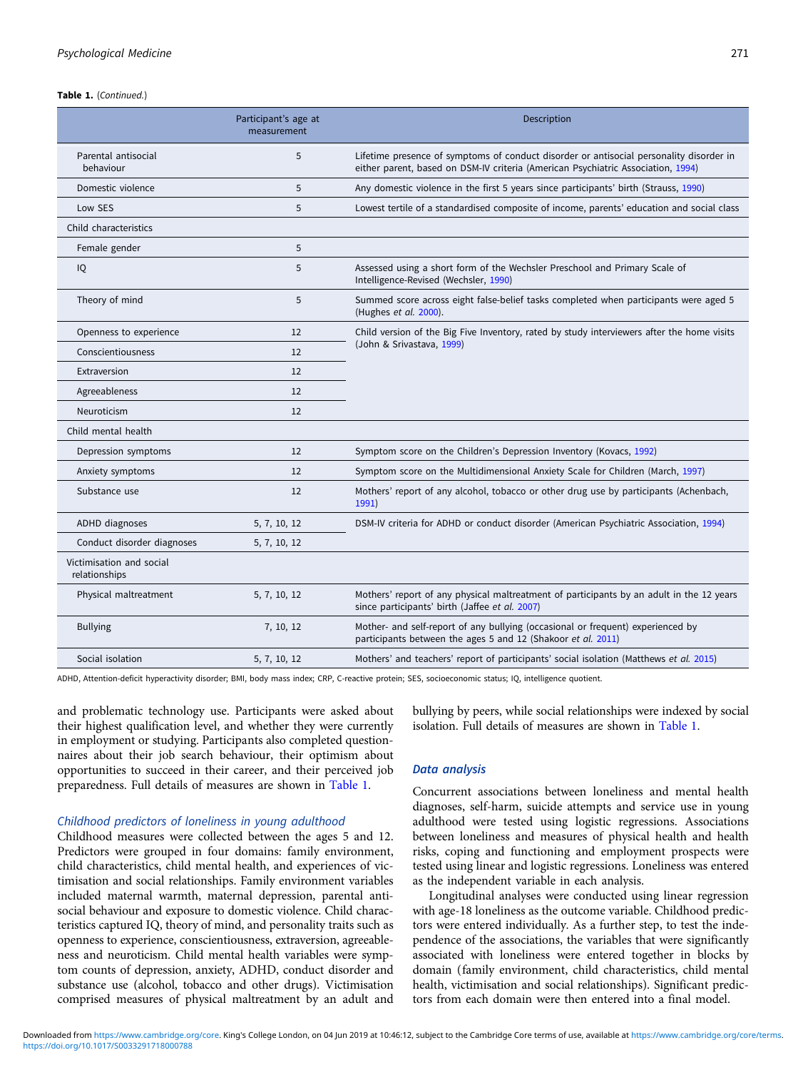#### Table 1. (Continued.)

|                                           | Participant's age at<br>measurement | Description                                                                                                                                                                 |  |
|-------------------------------------------|-------------------------------------|-----------------------------------------------------------------------------------------------------------------------------------------------------------------------------|--|
| Parental antisocial<br>behaviour          | 5                                   | Lifetime presence of symptoms of conduct disorder or antisocial personality disorder in<br>either parent, based on DSM-IV criteria (American Psychiatric Association, 1994) |  |
| Domestic violence                         | 5                                   | Any domestic violence in the first 5 years since participants' birth (Strauss, 1990)                                                                                        |  |
| Low SES                                   | 5                                   | Lowest tertile of a standardised composite of income, parents' education and social class                                                                                   |  |
| Child characteristics                     |                                     |                                                                                                                                                                             |  |
| Female gender                             | 5                                   |                                                                                                                                                                             |  |
| IQ                                        | 5                                   | Assessed using a short form of the Wechsler Preschool and Primary Scale of<br>Intelligence-Revised (Wechsler, 1990)                                                         |  |
| Theory of mind                            | 5                                   | Summed score across eight false-belief tasks completed when participants were aged 5<br>(Hughes et al. 2000).                                                               |  |
| Openness to experience                    | 12                                  | Child version of the Big Five Inventory, rated by study interviewers after the home visits                                                                                  |  |
| Conscientiousness                         | 12                                  | (John & Srivastava, 1999)                                                                                                                                                   |  |
| Extraversion                              | 12                                  |                                                                                                                                                                             |  |
| Agreeableness                             | 12                                  |                                                                                                                                                                             |  |
| Neuroticism                               | 12                                  |                                                                                                                                                                             |  |
| Child mental health                       |                                     |                                                                                                                                                                             |  |
| Depression symptoms                       | 12                                  | Symptom score on the Children's Depression Inventory (Kovacs, 1992)                                                                                                         |  |
| Anxiety symptoms                          | 12                                  | Symptom score on the Multidimensional Anxiety Scale for Children (March, 1997)                                                                                              |  |
| Substance use                             | 12                                  | Mothers' report of any alcohol, tobacco or other drug use by participants (Achenbach,<br>1991)                                                                              |  |
| ADHD diagnoses                            | 5, 7, 10, 12                        | DSM-IV criteria for ADHD or conduct disorder (American Psychiatric Association, 1994)                                                                                       |  |
| Conduct disorder diagnoses                | 5, 7, 10, 12                        |                                                                                                                                                                             |  |
| Victimisation and social<br>relationships |                                     |                                                                                                                                                                             |  |
| Physical maltreatment                     | 5, 7, 10, 12                        | Mothers' report of any physical maltreatment of participants by an adult in the 12 years<br>since participants' birth (Jaffee et al. 2007)                                  |  |
| <b>Bullying</b>                           | 7, 10, 12                           | Mother- and self-report of any bullying (occasional or frequent) experienced by<br>participants between the ages 5 and 12 (Shakoor et al. 2011)                             |  |
| Social isolation                          | 5, 7, 10, 12                        | Mothers' and teachers' report of participants' social isolation (Matthews et al. 2015)                                                                                      |  |

ADHD, Attention-deficit hyperactivity disorder; BMI, body mass index; CRP, C-reactive protein; SES, socioeconomic status; IQ, intelligence quotient.

and problematic technology use. Participants were asked about their highest qualification level, and whether they were currently in employment or studying. Participants also completed questionnaires about their job search behaviour, their optimism about opportunities to succeed in their career, and their perceived job preparedness. Full details of measures are shown in [Table 1](#page-2-0).

## Childhood predictors of loneliness in young adulthood

Childhood measures were collected between the ages 5 and 12. Predictors were grouped in four domains: family environment, child characteristics, child mental health, and experiences of victimisation and social relationships. Family environment variables included maternal warmth, maternal depression, parental antisocial behaviour and exposure to domestic violence. Child characteristics captured IQ, theory of mind, and personality traits such as openness to experience, conscientiousness, extraversion, agreeableness and neuroticism. Child mental health variables were symptom counts of depression, anxiety, ADHD, conduct disorder and substance use (alcohol, tobacco and other drugs). Victimisation comprised measures of physical maltreatment by an adult and

bullying by peers, while social relationships were indexed by social isolation. Full details of measures are shown in [Table 1](#page-2-0).

## Data analysis

Concurrent associations between loneliness and mental health diagnoses, self-harm, suicide attempts and service use in young adulthood were tested using logistic regressions. Associations between loneliness and measures of physical health and health risks, coping and functioning and employment prospects were tested using linear and logistic regressions. Loneliness was entered as the independent variable in each analysis.

Longitudinal analyses were conducted using linear regression with age-18 loneliness as the outcome variable. Childhood predictors were entered individually. As a further step, to test the independence of the associations, the variables that were significantly associated with loneliness were entered together in blocks by domain (family environment, child characteristics, child mental health, victimisation and social relationships). Significant predictors from each domain were then entered into a final model.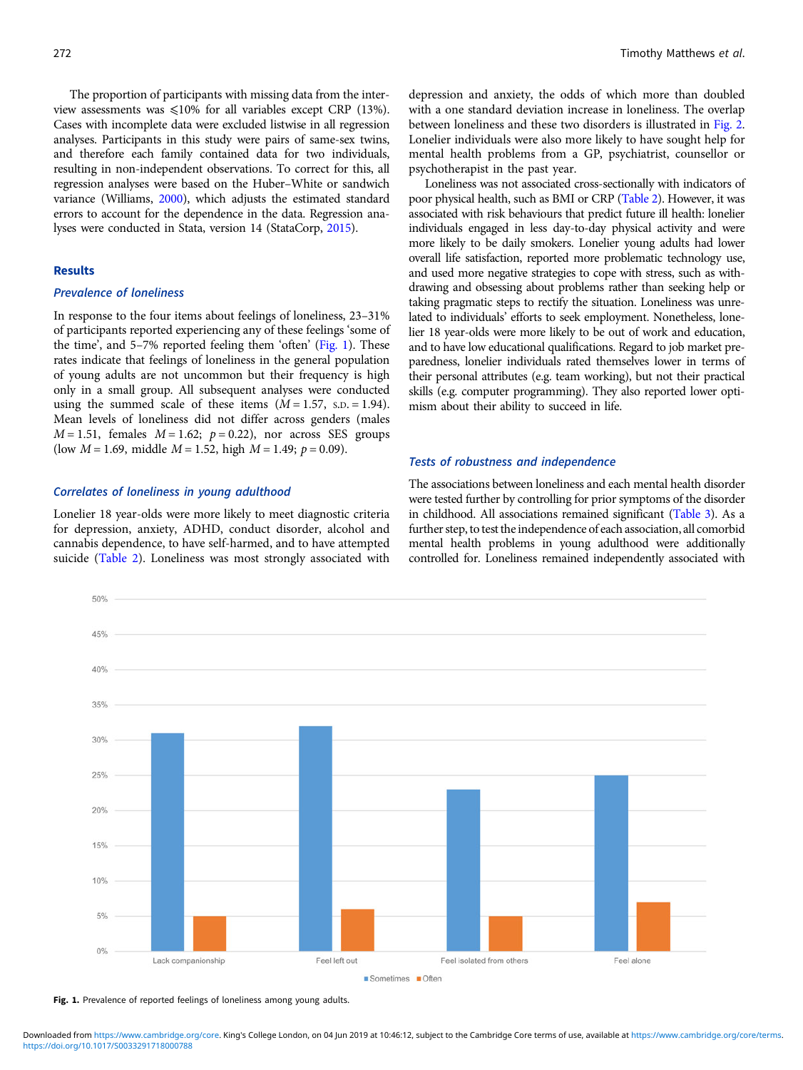The proportion of participants with missing data from the interview assessments was  $\leq 10\%$  for all variables except CRP (13%). Cases with incomplete data were excluded listwise in all regression analyses. Participants in this study were pairs of same-sex twins, and therefore each family contained data for two individuals, resulting in non-independent observations. To correct for this, all regression analyses were based on the Huber–White or sandwich variance (Williams, [2000\)](#page-9-0), which adjusts the estimated standard errors to account for the dependence in the data. Regression analyses were conducted in Stata, version 14 (StataCorp, [2015](#page-9-0)).

## Results

## Prevalence of loneliness

In response to the four items about feelings of loneliness, 23–31% of participants reported experiencing any of these feelings 'some of the time', and 5–7% reported feeling them 'often' (Fig. 1). These rates indicate that feelings of loneliness in the general population of young adults are not uncommon but their frequency is high only in a small group. All subsequent analyses were conducted using the summed scale of these items  $(M = 1.57, s.D. = 1.94)$ . Mean levels of loneliness did not differ across genders (males  $M = 1.51$ , females  $M = 1.62$ ;  $p = 0.22$ ), nor across SES groups (low  $M = 1.69$ , middle  $M = 1.52$ , high  $M = 1.49$ ;  $p = 0.09$ ).

## Correlates of loneliness in young adulthood

Lonelier 18 year-olds were more likely to meet diagnostic criteria for depression, anxiety, ADHD, conduct disorder, alcohol and cannabis dependence, to have self-harmed, and to have attempted suicide [\(Table 2\)](#page-5-0). Loneliness was most strongly associated with

depression and anxiety, the odds of which more than doubled with a one standard deviation increase in loneliness. The overlap between loneliness and these two disorders is illustrated in [Fig. 2.](#page-6-0) Lonelier individuals were also more likely to have sought help for mental health problems from a GP, psychiatrist, counsellor or psychotherapist in the past year.

Loneliness was not associated cross-sectionally with indicators of poor physical health, such as BMI or CRP [\(Table 2\)](#page-5-0). However, it was associated with risk behaviours that predict future ill health: lonelier individuals engaged in less day-to-day physical activity and were more likely to be daily smokers. Lonelier young adults had lower overall life satisfaction, reported more problematic technology use, and used more negative strategies to cope with stress, such as withdrawing and obsessing about problems rather than seeking help or taking pragmatic steps to rectify the situation. Loneliness was unrelated to individuals' efforts to seek employment. Nonetheless, lonelier 18 year-olds were more likely to be out of work and education, and to have low educational qualifications. Regard to job market preparedness, lonelier individuals rated themselves lower in terms of their personal attributes (e.g. team working), but not their practical skills (e.g. computer programming). They also reported lower optimism about their ability to succeed in life.

## Tests of robustness and independence

The associations between loneliness and each mental health disorder were tested further by controlling for prior symptoms of the disorder in childhood. All associations remained significant [\(Table 3](#page-6-0)). As a further step, to test the independence of each association, all comorbid mental health problems in young adulthood were additionally controlled for. Loneliness remained independently associated with



Fig. 1. Prevalence of reported feelings of loneliness among young adults.

<https://doi.org/10.1017/S0033291718000788> Downloaded from [https://www.cambridge.org/core.](https://www.cambridge.org/core) King's College London, on 04 Jun 2019 at 10:46:12, subject to the Cambridge Core terms of use, available at [https://www.cambridge.org/core/terms.](https://www.cambridge.org/core/terms)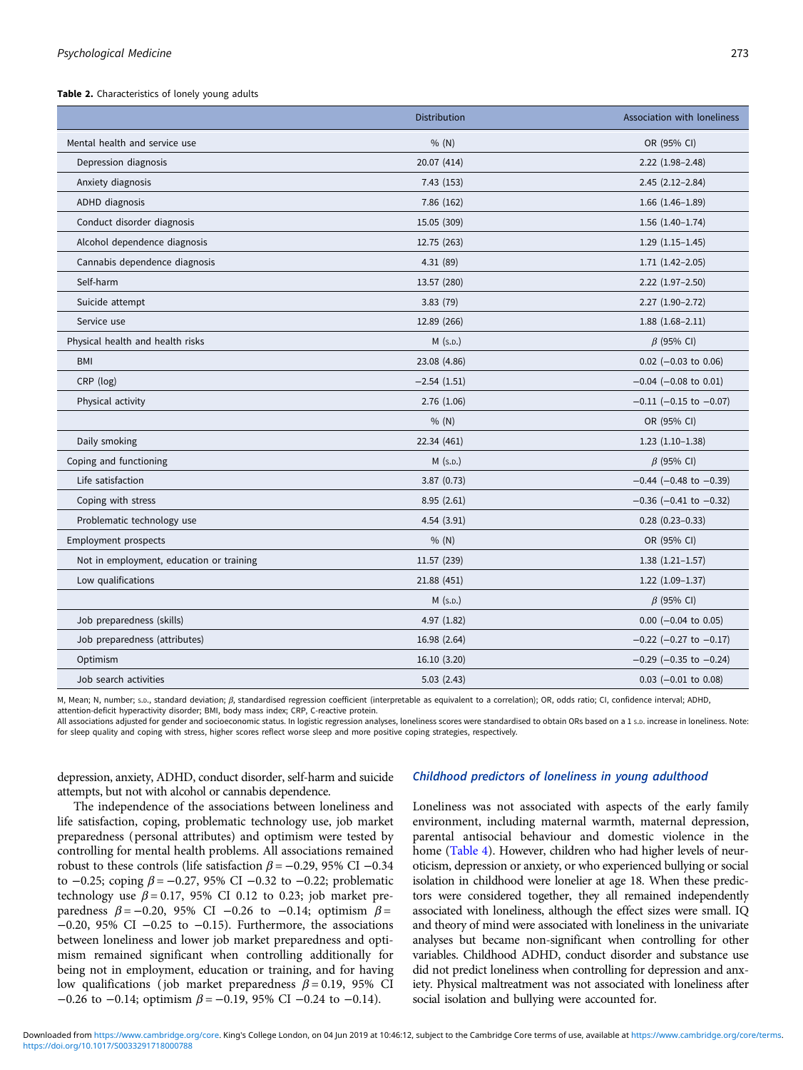<span id="page-5-0"></span>Table 2. Characteristics of lonely young adults

|                                          | Distribution  | Association with loneliness    |
|------------------------------------------|---------------|--------------------------------|
| Mental health and service use            | % (N)         | OR (95% CI)                    |
| Depression diagnosis                     | 20.07 (414)   | $2.22(1.98-2.48)$              |
| Anxiety diagnosis                        | 7.43(153)     | $2.45(2.12-2.84)$              |
| ADHD diagnosis                           | 7.86 (162)    | $1.66(1.46-1.89)$              |
| Conduct disorder diagnosis               | 15.05 (309)   | $1.56(1.40-1.74)$              |
| Alcohol dependence diagnosis             | 12.75 (263)   | $1.29(1.15-1.45)$              |
| Cannabis dependence diagnosis            | 4.31(89)      | $1.71(1.42 - 2.05)$            |
| Self-harm                                | 13.57 (280)   | $2.22(1.97-2.50)$              |
| Suicide attempt                          | 3.83(79)      | $2.27(1.90-2.72)$              |
| Service use                              | 12.89 (266)   | $1.88(1.68 - 2.11)$            |
| Physical health and health risks         | $M$ (s.p.)    | $\beta$ (95% CI)               |
| <b>BMI</b>                               | 23.08 (4.86)  | $0.02$ (-0.03 to 0.06)         |
| CRP (log)                                | $-2.54(1.51)$ | $-0.04$ ( $-0.08$ to 0.01)     |
| Physical activity                        | 2.76(1.06)    | $-0.11$ (-0.15 to $-0.07$ )    |
|                                          | % (N)         | OR (95% CI)                    |
| Daily smoking                            | 22.34 (461)   | $1.23(1.10-1.38)$              |
| Coping and functioning                   | $M$ (s.p.)    | $\beta$ (95% CI)               |
| Life satisfaction                        | 3.87(0.73)    | $-0.44$ ( $-0.48$ to $-0.39$ ) |
| Coping with stress                       | 8.95(2.61)    | $-0.36$ ( $-0.41$ to $-0.32$ ) |
| Problematic technology use               | 4.54(3.91)    | $0.28$ (0.23-0.33)             |
| Employment prospects                     | % (N)         | OR (95% CI)                    |
| Not in employment, education or training | 11.57 (239)   | $1.38(1.21 - 1.57)$            |
| Low qualifications                       | 21.88 (451)   | $1.22(1.09-1.37)$              |
|                                          | $M$ (s.p.)    | $\beta$ (95% CI)               |
| Job preparedness (skills)                | 4.97(1.82)    | $0.00$ (-0.04 to 0.05)         |
| Job preparedness (attributes)            | 16.98 (2.64)  | $-0.22$ ( $-0.27$ to $-0.17$ ) |
| Optimism                                 | 16.10 (3.20)  | $-0.29$ (-0.35 to -0.24)       |
| Job search activities                    | 5.03(2.43)    | $0.03$ (-0.01 to 0.08)         |

M, Mean; N, number; S.D., standard deviation; β, standardised regression coefficient (interpretable as equivalent to a correlation); OR, odds ratio; CI, confidence interval; ADHD,

attention-deficit hyperactivity disorder; BMI, body mass index; CRP, C-reactive protein.

All associations adjusted for gender and socioeconomic status. In logistic regression analyses, loneliness scores were standardised to obtain ORs based on a 1 s.p. increase in loneliness. Note: for sleep quality and coping with stress, higher scores reflect worse sleep and more positive coping strategies, respectively.

depression, anxiety, ADHD, conduct disorder, self-harm and suicide attempts, but not with alcohol or cannabis dependence.

The independence of the associations between loneliness and life satisfaction, coping, problematic technology use, job market preparedness (personal attributes) and optimism were tested by controlling for mental health problems. All associations remained robust to these controls (life satisfaction  $\beta = -0.29$ , 95% CI –0.34 to −0.25; coping  $\beta$  = −0.27, 95% CI −0.32 to −0.22; problematic technology use  $\beta = 0.17$ , 95% CI 0.12 to 0.23; job market preparedness  $\beta$  = −0.20, 95% CI −0.26 to −0.14; optimism  $\beta$  = −0.20, 95% CI −0.25 to −0.15). Furthermore, the associations between loneliness and lower job market preparedness and optimism remained significant when controlling additionally for being not in employment, education or training, and for having low qualifications (job market preparedness  $\beta = 0.19$ , 95% CI −0.26 to −0.14; optimism  $\beta$  = −0.19, 95% CI −0.24 to −0.14).

## Childhood predictors of loneliness in young adulthood

Loneliness was not associated with aspects of the early family environment, including maternal warmth, maternal depression, parental antisocial behaviour and domestic violence in the home ([Table 4](#page-7-0)). However, children who had higher levels of neuroticism, depression or anxiety, or who experienced bullying or social isolation in childhood were lonelier at age 18. When these predictors were considered together, they all remained independently associated with loneliness, although the effect sizes were small. IQ and theory of mind were associated with loneliness in the univariate analyses but became non-significant when controlling for other variables. Childhood ADHD, conduct disorder and substance use did not predict loneliness when controlling for depression and anxiety. Physical maltreatment was not associated with loneliness after social isolation and bullying were accounted for.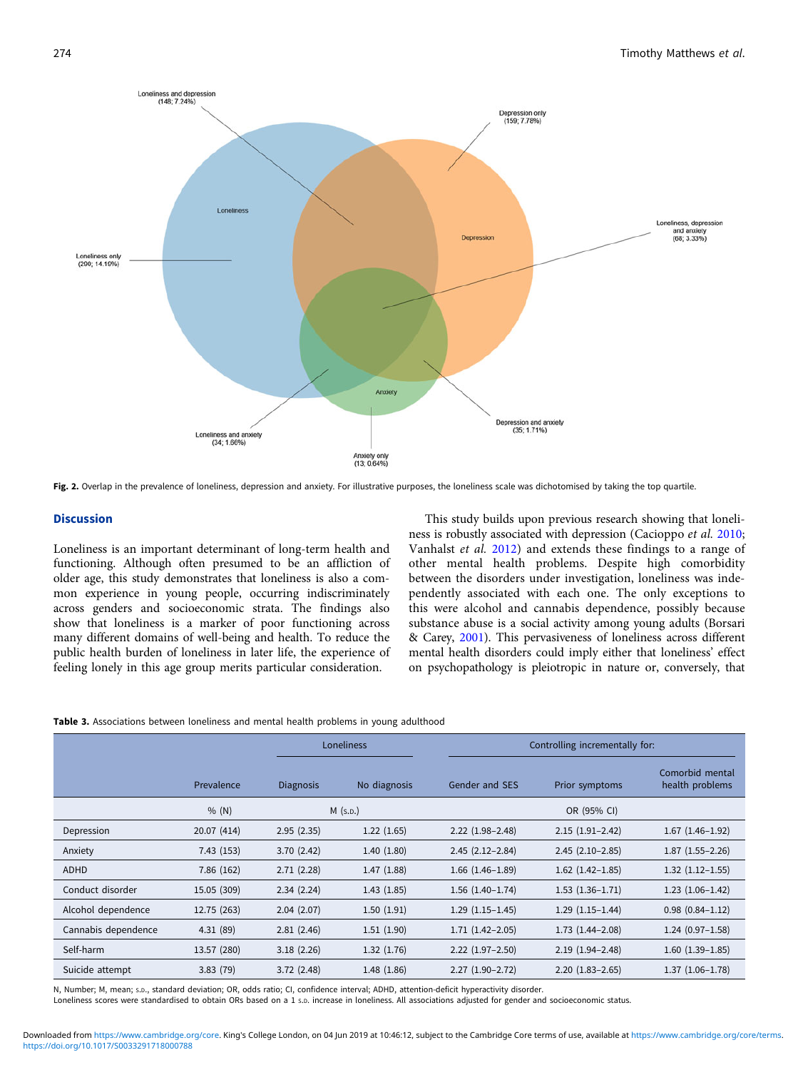<span id="page-6-0"></span>

Fig. 2. Overlap in the prevalence of loneliness, depression and anxiety. For illustrative purposes, the loneliness scale was dichotomised by taking the top quartile.

## **Discussion**

Loneliness is an important determinant of long-term health and functioning. Although often presumed to be an affliction of older age, this study demonstrates that loneliness is also a common experience in young people, occurring indiscriminately across genders and socioeconomic strata. The findings also show that loneliness is a marker of poor functioning across many different domains of well-being and health. To reduce the public health burden of loneliness in later life, the experience of feeling lonely in this age group merits particular consideration.

This study builds upon previous research showing that loneliness is robustly associated with depression (Cacioppo et al. [2010;](#page-8-0) Vanhalst et al. [2012\)](#page-9-0) and extends these findings to a range of other mental health problems. Despite high comorbidity between the disorders under investigation, loneliness was independently associated with each one. The only exceptions to this were alcohol and cannabis dependence, possibly because substance abuse is a social activity among young adults (Borsari & Carey, [2001](#page-8-0)). This pervasiveness of loneliness across different mental health disorders could imply either that loneliness' effect on psychopathology is pleiotropic in nature or, conversely, that

|                     |             |                  | <b>Loneliness</b> | Controlling incrementally for: |                      |                                    |
|---------------------|-------------|------------------|-------------------|--------------------------------|----------------------|------------------------------------|
|                     | Prevalence  | <b>Diagnosis</b> | No diagnosis      | Gender and SES                 | Prior symptoms       | Comorbid mental<br>health problems |
|                     | % (N)       |                  | $M$ (s.p.)        |                                | OR (95% CI)          |                                    |
| Depression          | 20.07(414)  | 2.95(2.35)       | 1.22(1.65)        | $2.22(1.98-2.48)$              | $2.15(1.91-2.42)$    | $1.67$ $(1.46-1.92)$               |
| Anxiety             | 7.43(153)   | 3.70(2.42)       | 1.40(1.80)        | $2.45(2.12-2.84)$              | $2.45(2.10-2.85)$    | $1.87$ $(1.55 - 2.26)$             |
| ADHD                | 7.86(162)   | 2.71(2.28)       | 1.47(1.88)        | $1.66(1.46-1.89)$              | $1.62$ $(1.42-1.85)$ | $1.32$ $(1.12-1.55)$               |
| Conduct disorder    | 15.05 (309) | 2.34(2.24)       | 1.43(1.85)        | $1.56(1.40-1.74)$              | $1.53(1.36-1.71)$    | $1.23(1.06-1.42)$                  |
| Alcohol dependence  | 12.75 (263) | 2.04(2.07)       | 1.50(1.91)        | $1.29(1.15-1.45)$              | $1.29(1.15-1.44)$    | $0.98(0.84 - 1.12)$                |
| Cannabis dependence | 4.31(89)    | 2.81(2.46)       | 1.51(1.90)        | $1.71(1.42 - 2.05)$            | $1.73(1.44 - 2.08)$  | $1.24(0.97-1.58)$                  |
| Self-harm           | 13.57 (280) | 3.18(2.26)       | 1.32(1.76)        | $2.22(1.97-2.50)$              | $2.19(1.94 - 2.48)$  | $1.60(1.39-1.85)$                  |
| Suicide attempt     | 3.83(79)    | 3.72(2.48)       | 1.48(1.86)        | $2.27(1.90-2.72)$              | $2.20(1.83-2.65)$    | $1.37(1.06-1.78)$                  |

Table 3. Associations between loneliness and mental health problems in young adulthood

N, Number; M, mean; S.D., standard deviation; OR, odds ratio; CI, confidence interval; ADHD, attention-deficit hyperactivity disorder. Loneliness scores were standardised to obtain ORs based on a 1 s.p. increase in loneliness. All associations adjusted for gender and socioeconomic status.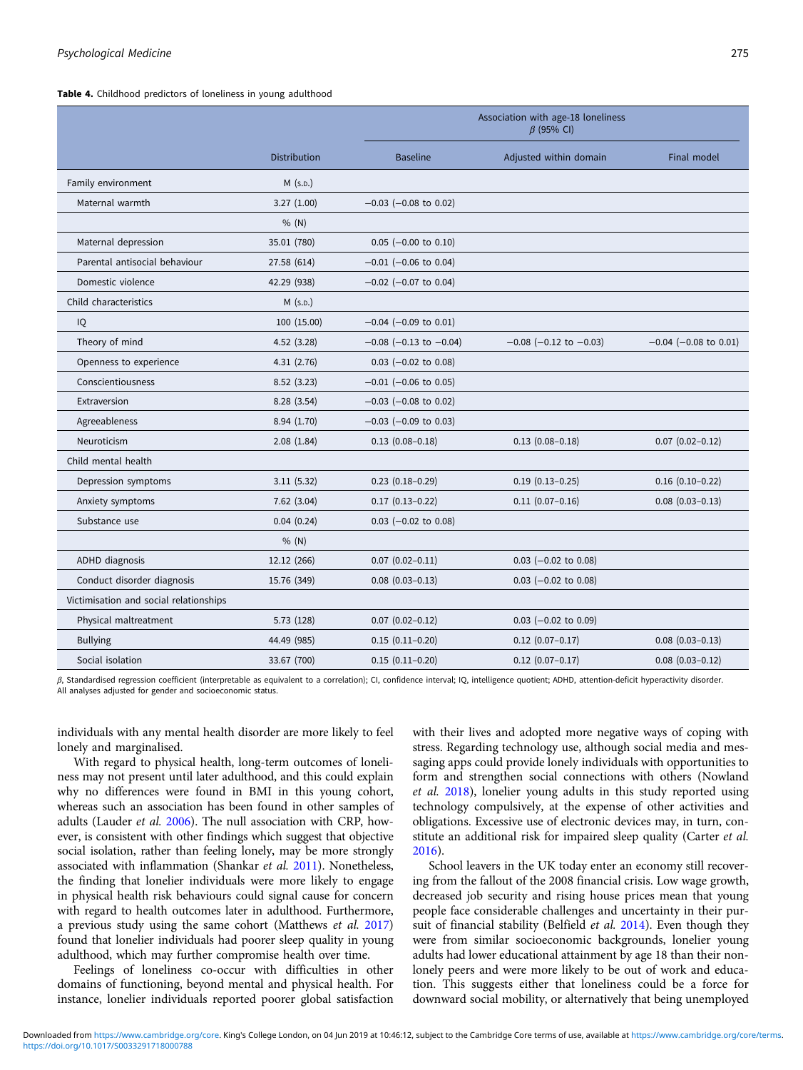#### <span id="page-7-0"></span>Table 4. Childhood predictors of loneliness in young adulthood

|                                        |                     | Association with age-18 loneliness<br>$\beta$ (95% CI) |                                |                            |
|----------------------------------------|---------------------|--------------------------------------------------------|--------------------------------|----------------------------|
|                                        | <b>Distribution</b> | <b>Baseline</b>                                        | Adjusted within domain         | Final model                |
| Family environment                     | $M$ (s.p.)          |                                                        |                                |                            |
| Maternal warmth                        | 3.27(1.00)          | $-0.03$ ( $-0.08$ to 0.02)                             |                                |                            |
|                                        | % (N)               |                                                        |                                |                            |
| Maternal depression                    | 35.01 (780)         | $0.05$ (-0.00 to 0.10)                                 |                                |                            |
| Parental antisocial behaviour          | 27.58 (614)         | $-0.01$ ( $-0.06$ to 0.04)                             |                                |                            |
| Domestic violence                      | 42.29 (938)         | $-0.02$ ( $-0.07$ to 0.04)                             |                                |                            |
| Child characteristics                  | $M$ (s.p.)          |                                                        |                                |                            |
| IQ                                     | 100 (15.00)         | $-0.04$ ( $-0.09$ to 0.01)                             |                                |                            |
| Theory of mind                         | 4.52(3.28)          | $-0.08$ ( $-0.13$ to $-0.04$ )                         | $-0.08$ ( $-0.12$ to $-0.03$ ) | $-0.04$ ( $-0.08$ to 0.01) |
| Openness to experience                 | 4.31(2.76)          | $0.03$ (-0.02 to 0.08)                                 |                                |                            |
| Conscientiousness                      | 8.52(3.23)          | $-0.01$ ( $-0.06$ to 0.05)                             |                                |                            |
| Extraversion                           | 8.28(3.54)          | $-0.03$ ( $-0.08$ to 0.02)                             |                                |                            |
| Agreeableness                          | 8.94(1.70)          | $-0.03$ ( $-0.09$ to 0.03)                             |                                |                            |
| Neuroticism                            | 2.08(1.84)          | $0.13(0.08 - 0.18)$                                    | $0.13(0.08 - 0.18)$            | $0.07$ $(0.02 - 0.12)$     |
| Child mental health                    |                     |                                                        |                                |                            |
| Depression symptoms                    | 3.11(5.32)          | $0.23$ $(0.18 - 0.29)$                                 | $0.19(0.13 - 0.25)$            | $0.16(0.10-0.22)$          |
| Anxiety symptoms                       | 7.62(3.04)          | $0.17(0.13 - 0.22)$                                    | $0.11(0.07 - 0.16)$            | $0.08$ $(0.03 - 0.13)$     |
| Substance use                          | 0.04(0.24)          | $0.03$ (-0.02 to 0.08)                                 |                                |                            |
|                                        | % (N)               |                                                        |                                |                            |
| ADHD diagnosis                         | 12.12 (266)         | $0.07$ $(0.02 - 0.11)$                                 | $0.03$ (-0.02 to 0.08)         |                            |
| Conduct disorder diagnosis             | 15.76 (349)         | $0.08$ $(0.03 - 0.13)$                                 | $0.03$ (-0.02 to 0.08)         |                            |
| Victimisation and social relationships |                     |                                                        |                                |                            |
| Physical maltreatment                  | 5.73 (128)          | $0.07$ $(0.02 - 0.12)$                                 | $0.03$ (-0.02 to 0.09)         |                            |
| <b>Bullying</b>                        | 44.49 (985)         | $0.15(0.11 - 0.20)$                                    | $0.12$ (0.07-0.17)             | $0.08$ $(0.03 - 0.13)$     |
| Social isolation                       | 33.67 (700)         | $0.15(0.11 - 0.20)$                                    | $0.12$ $(0.07 - 0.17)$         | $0.08$ $(0.03 - 0.12)$     |

 $β$ , Standardised regression coefficient (interpretable as equivalent to a correlation); CI, confidence interval; IQ, intelligence quotient; ADHD, attention-deficit hyperactivity disorder. All analyses adjusted for gender and socioeconomic status.

individuals with any mental health disorder are more likely to feel lonely and marginalised.

With regard to physical health, long-term outcomes of loneliness may not present until later adulthood, and this could explain why no differences were found in BMI in this young cohort, whereas such an association has been found in other samples of adults (Lauder et al. [2006](#page-9-0)). The null association with CRP, however, is consistent with other findings which suggest that objective social isolation, rather than feeling lonely, may be more strongly associated with inflammation (Shankar et al. [2011\)](#page-9-0). Nonetheless, the finding that lonelier individuals were more likely to engage in physical health risk behaviours could signal cause for concern with regard to health outcomes later in adulthood. Furthermore, a previous study using the same cohort (Matthews et al. [2017\)](#page-9-0) found that lonelier individuals had poorer sleep quality in young adulthood, which may further compromise health over time.

Feelings of loneliness co-occur with difficulties in other domains of functioning, beyond mental and physical health. For instance, lonelier individuals reported poorer global satisfaction

with their lives and adopted more negative ways of coping with stress. Regarding technology use, although social media and messaging apps could provide lonely individuals with opportunities to form and strengthen social connections with others (Nowland et al. [2018](#page-9-0)), lonelier young adults in this study reported using technology compulsively, at the expense of other activities and obligations. Excessive use of electronic devices may, in turn, constitute an additional risk for impaired sleep quality (Carter et al. [2016](#page-8-0)).

School leavers in the UK today enter an economy still recovering from the fallout of the 2008 financial crisis. Low wage growth, decreased job security and rising house prices mean that young people face considerable challenges and uncertainty in their pur-suit of financial stability (Belfield et al. [2014\)](#page-8-0). Even though they were from similar socioeconomic backgrounds, lonelier young adults had lower educational attainment by age 18 than their nonlonely peers and were more likely to be out of work and education. This suggests either that loneliness could be a force for downward social mobility, or alternatively that being unemployed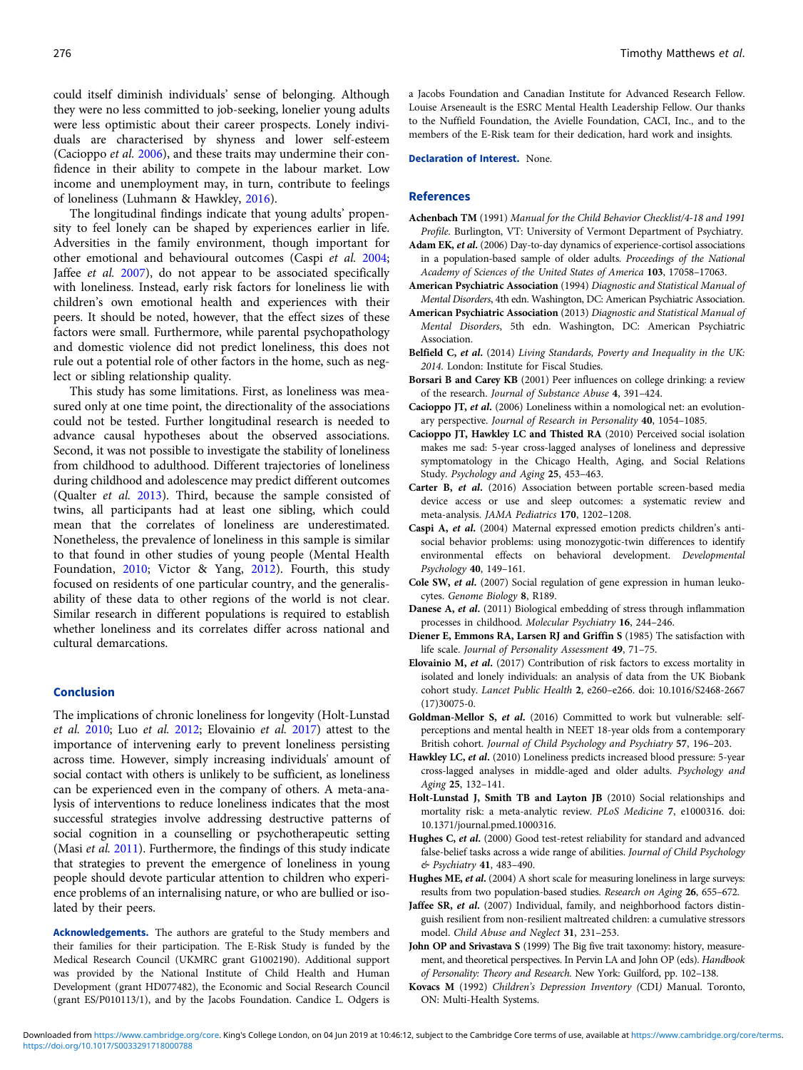<span id="page-8-0"></span>could itself diminish individuals' sense of belonging. Although they were no less committed to job-seeking, lonelier young adults were less optimistic about their career prospects. Lonely individuals are characterised by shyness and lower self-esteem (Cacioppo et al. 2006), and these traits may undermine their confidence in their ability to compete in the labour market. Low income and unemployment may, in turn, contribute to feelings of loneliness (Luhmann & Hawkley, [2016](#page-9-0)).

The longitudinal findings indicate that young adults' propensity to feel lonely can be shaped by experiences earlier in life. Adversities in the family environment, though important for other emotional and behavioural outcomes (Caspi et al. 2004; Jaffee et al. 2007), do not appear to be associated specifically with loneliness. Instead, early risk factors for loneliness lie with children's own emotional health and experiences with their peers. It should be noted, however, that the effect sizes of these factors were small. Furthermore, while parental psychopathology and domestic violence did not predict loneliness, this does not rule out a potential role of other factors in the home, such as neglect or sibling relationship quality.

This study has some limitations. First, as loneliness was measured only at one time point, the directionality of the associations could not be tested. Further longitudinal research is needed to advance causal hypotheses about the observed associations. Second, it was not possible to investigate the stability of loneliness from childhood to adulthood. Different trajectories of loneliness during childhood and adolescence may predict different outcomes (Qualter et al. [2013](#page-9-0)). Third, because the sample consisted of twins, all participants had at least one sibling, which could mean that the correlates of loneliness are underestimated. Nonetheless, the prevalence of loneliness in this sample is similar to that found in other studies of young people (Mental Health Foundation, [2010](#page-9-0); Victor & Yang, [2012\)](#page-9-0). Fourth, this study focused on residents of one particular country, and the generalisability of these data to other regions of the world is not clear. Similar research in different populations is required to establish whether loneliness and its correlates differ across national and cultural demarcations.

#### Conclusion

The implications of chronic loneliness for longevity (Holt-Lunstad et al. 2010; Luo et al. [2012;](#page-9-0) Elovainio et al. 2017) attest to the importance of intervening early to prevent loneliness persisting across time. However, simply increasing individuals' amount of social contact with others is unlikely to be sufficient, as loneliness can be experienced even in the company of others. A meta-analysis of interventions to reduce loneliness indicates that the most successful strategies involve addressing destructive patterns of social cognition in a counselling or psychotherapeutic setting (Masi et al. [2011\)](#page-9-0). Furthermore, the findings of this study indicate that strategies to prevent the emergence of loneliness in young people should devote particular attention to children who experience problems of an internalising nature, or who are bullied or isolated by their peers.

Acknowledgements. The authors are grateful to the Study members and their families for their participation. The E-Risk Study is funded by the Medical Research Council (UKMRC grant G1002190). Additional support was provided by the National Institute of Child Health and Human Development (grant HD077482), the Economic and Social Research Council (grant ES/P010113/1), and by the Jacobs Foundation. Candice L. Odgers is a Jacobs Foundation and Canadian Institute for Advanced Research Fellow. Louise Arseneault is the ESRC Mental Health Leadership Fellow. Our thanks to the Nuffield Foundation, the Avielle Foundation, CACI, Inc., and to the members of the E-Risk team for their dedication, hard work and insights.

#### Declaration of Interest. None.

#### References

- Achenbach TM (1991) Manual for the Child Behavior Checklist/4-18 and 1991 Profile. Burlington, VT: University of Vermont Department of Psychiatry.
- Adam EK, et al. (2006) Day-to-day dynamics of experience-cortisol associations in a population-based sample of older adults. Proceedings of the National Academy of Sciences of the United States of America 103, 17058–17063.
- American Psychiatric Association (1994) Diagnostic and Statistical Manual of Mental Disorders, 4th edn. Washington, DC: American Psychiatric Association.
- American Psychiatric Association (2013) Diagnostic and Statistical Manual of Mental Disorders, 5th edn. Washington, DC: American Psychiatric Association.
- Belfield C, et al. (2014) Living Standards, Poverty and Inequality in the UK: 2014. London: Institute for Fiscal Studies.
- Borsari B and Carey KB (2001) Peer influences on college drinking: a review of the research. Journal of Substance Abuse 4, 391–424.
- Cacioppo JT, et al. (2006) Loneliness within a nomological net: an evolutionary perspective. Journal of Research in Personality 40, 1054–1085.
- Cacioppo JT, Hawkley LC and Thisted RA (2010) Perceived social isolation makes me sad: 5-year cross-lagged analyses of loneliness and depressive symptomatology in the Chicago Health, Aging, and Social Relations Study. Psychology and Aging 25, 453–463.
- Carter B, et al. (2016) Association between portable screen-based media device access or use and sleep outcomes: a systematic review and meta-analysis. JAMA Pediatrics 170, 1202–1208.
- Caspi A, et al. (2004) Maternal expressed emotion predicts children's antisocial behavior problems: using monozygotic-twin differences to identify environmental effects on behavioral development. Developmental Psychology 40, 149–161.
- Cole SW, et al. (2007) Social regulation of gene expression in human leukocytes. Genome Biology 8, R189.
- Danese A, et al. (2011) Biological embedding of stress through inflammation processes in childhood. Molecular Psychiatry 16, 244–246.
- Diener E, Emmons RA, Larsen RJ and Griffin S (1985) The satisfaction with life scale. Journal of Personality Assessment 49, 71–75.
- Elovainio M, et al. (2017) Contribution of risk factors to excess mortality in isolated and lonely individuals: an analysis of data from the UK Biobank cohort study. Lancet Public Health 2, e260–e266. doi: 10.1016/S2468-2667 (17)30075-0.
- Goldman-Mellor S, et al. (2016) Committed to work but vulnerable: selfperceptions and mental health in NEET 18-year olds from a contemporary British cohort. Journal of Child Psychology and Psychiatry 57, 196–203.
- Hawkley LC, et al. (2010) Loneliness predicts increased blood pressure: 5-year cross-lagged analyses in middle-aged and older adults. Psychology and Aging 25, 132–141.
- Holt-Lunstad J, Smith TB and Layton JB (2010) Social relationships and mortality risk: a meta-analytic review. PLoS Medicine 7, e1000316. doi: 10.1371/journal.pmed.1000316.
- Hughes C, et al. (2000) Good test-retest reliability for standard and advanced false-belief tasks across a wide range of abilities. Journal of Child Psychology & Psychiatry 41, 483–490.
- Hughes ME, et al. (2004) A short scale for measuring loneliness in large surveys: results from two population-based studies. Research on Aging 26, 655–672.
- Jaffee SR, et al. (2007) Individual, family, and neighborhood factors distinguish resilient from non-resilient maltreated children: a cumulative stressors model. Child Abuse and Neglect 31, 231–253.
- John OP and Srivastava S (1999) The Big five trait taxonomy: history, measurement, and theoretical perspectives. In Pervin LA and John OP (eds). Handbook of Personality: Theory and Research. New York: Guilford, pp. 102–138.
- Kovacs M (1992) Children's Depression Inventory (CDI) Manual. Toronto, ON: Multi-Health Systems.